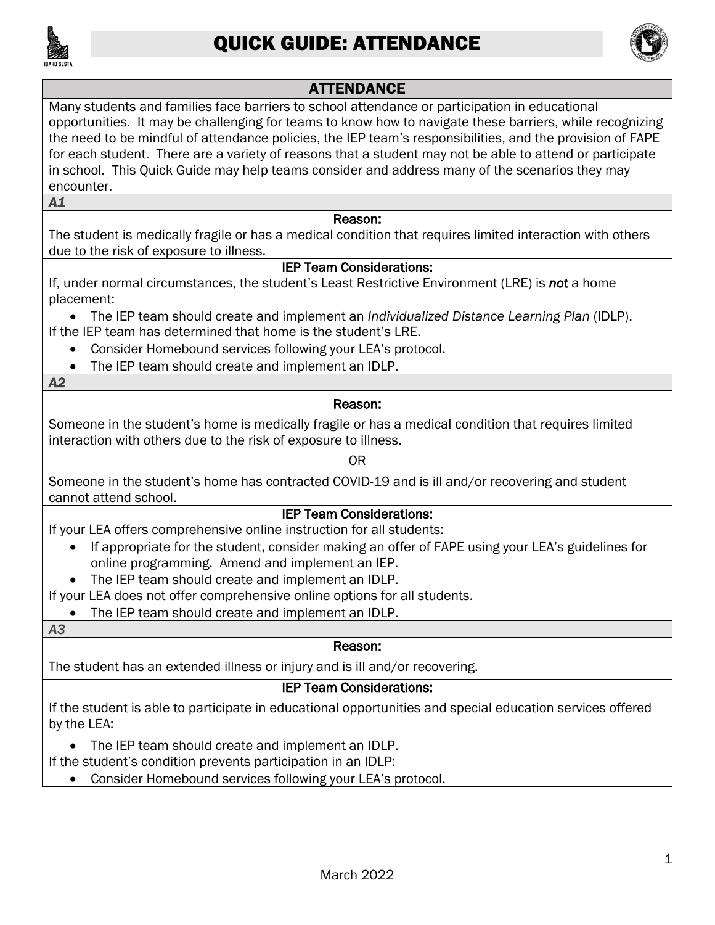

# QUICK GUIDE: ATTENDANCE



## ATTENDANCE

 in school. This Quick Guide may help teams consider and address many of the scenarios they may Many students and families face barriers to school attendance or participation in educational opportunities. It may be challenging for teams to know how to navigate these barriers, while recognizing the need to be mindful of attendance policies, the IEP team's responsibilities, and the provision of FAPE for each student. There are a variety of reasons that a student may not be able to attend or participate encounter.

*A1* 

#### Reason:

The student is medically fragile or has a medical condition that requires limited interaction with others due to the risk of exposure to illness.

#### IEP Team Considerations:

 placement: If, under normal circumstances, the student's Least Restrictive Environment (LRE) is *not* a home

• The IEP team should create and implement an *Individualized Distance Learning Plan* (IDLP). If the IEP team has determined that home is the student's LRE.

- Consider Homebound services following your LEA's protocol.
- The IEP team should create and implement an IDLP.

#### *A2*

#### Reason:

Someone in the student's home is medically fragile or has a medical condition that requires limited interaction with others due to the risk of exposure to illness.

#### OR

Someone in the student's home has contracted COVID-19 and is ill and/or recovering and student cannot attend school.

### IEP Team Considerations:

If your LEA offers comprehensive online instruction for all students:

- If appropriate for the student, consider making an offer of FAPE using your LEA's guidelines for online programming. Amend and implement an IEP.
- The IEP team should create and implement an IDLP.

If your LEA does not offer comprehensive online options for all students.

The IEP team should create and implement an IDLP.

#### *A3*

#### Reason:

The student has an extended illness or injury and is ill and/or recovering.

### IEP Team Considerations:

If the student is able to participate in educational opportunities and special education services offered by the LEA:

• The IEP team should create and implement an IDLP.

If the student's condition prevents participation in an IDLP:

• Consider Homebound services following your LEA's protocol.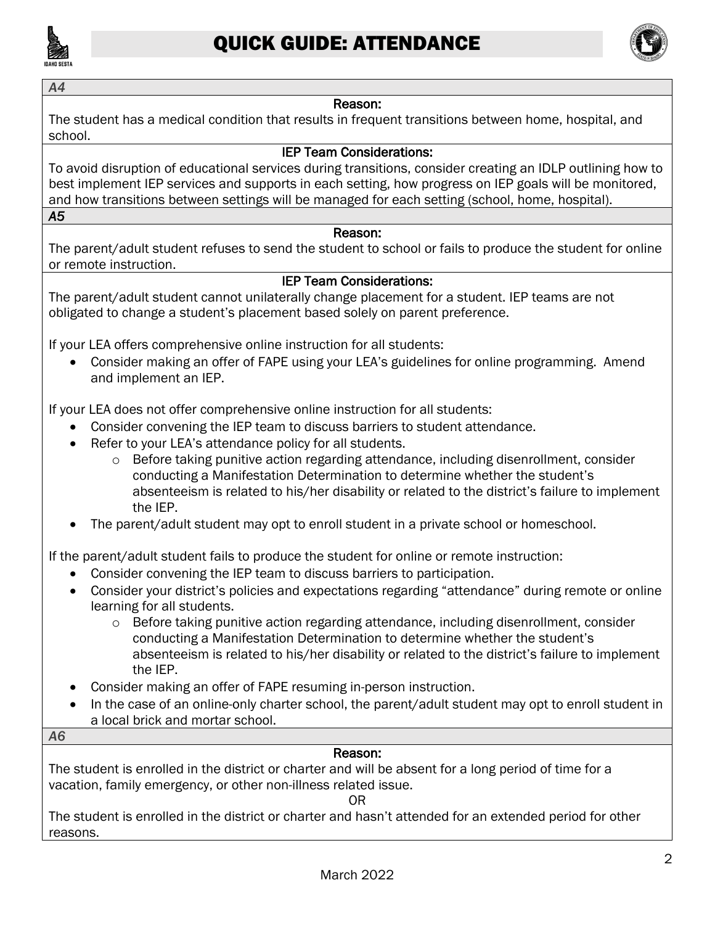

*A4* 



#### Reason:

The student has a medical condition that results in frequent transitions between home, hospital, and school.

#### IEP Team Considerations:

 To avoid disruption of educational services during transitions, consider creating an IDLP outlining how to best implement IEP services and supports in each setting, how progress on IEP goals will be monitored, and how transitions between settings will be managed for each setting (school, home, hospital). *A5* 

#### Reason:

The parent/adult student refuses to send the student to school or fails to produce the student for online or remote instruction.

#### IEP Team Considerations:

The parent/adult student cannot unilaterally change placement for a student. IEP teams are not obligated to change a student's placement based solely on parent preference.

If your LEA offers comprehensive online instruction for all students:

• Consider making an offer of FAPE using your LEA's guidelines for online programming. Amend and implement an IEP.

If your LEA does not offer comprehensive online instruction for all students:

- Consider convening the IEP team to discuss barriers to student attendance.
- Refer to your LEA's attendance policy for all students.
	- o Before taking punitive action regarding attendance, including disenrollment, consider conducting a Manifestation Determination to determine whether the student's absenteeism is related to his/her disability or related to the district's failure to implement the IEP.
- The parent/adult student may opt to enroll student in a private school or homeschool.

If the parent/adult student fails to produce the student for online or remote instruction:

- Consider convening the IEP team to discuss barriers to participation.
- Consider your district's policies and expectations regarding "attendance" during remote or online learning for all students.
	- o Before taking punitive action regarding attendance, including disenrollment, consider conducting a Manifestation Determination to determine whether the student's absenteeism is related to his/her disability or related to the district's failure to implement the IEP.
- Consider making an offer of FAPE resuming in-person instruction.
- In the case of an online-only charter school, the parent/adult student may opt to enroll student in a local brick and mortar school.

#### *A6*

#### Reason:

 The student is enrolled in the district or charter and will be absent for a long period of time for a vacation, family emergency, or other non-illness related issue.

OR

 The student is enrolled in the district or charter and hasn't attended for an extended period for other reasons.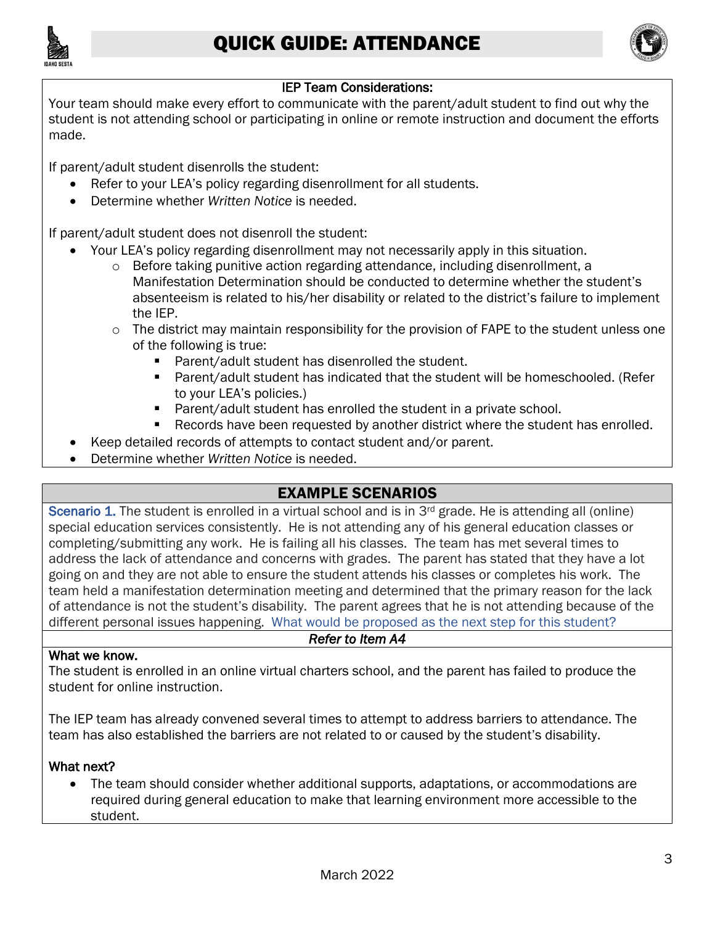



## IEP Team Considerations:

 Your team should make every effort to communicate with the parent/adult student to find out why the student is not attending school or participating in online or remote instruction and document the efforts made.

If parent/adult student disenrolls the student:

- Refer to your LEA's policy regarding disenrollment for all students.
- Determine whether *Written Notice* is needed.

If parent/adult student does not disenroll the student:

- Your LEA's policy regarding disenrollment may not necessarily apply in this situation.
	- $\circ$  Before taking punitive action regarding attendance, including disenrollment, a Manifestation Determination should be conducted to determine whether the student's absenteeism is related to his/her disability or related to the district's failure to implement the IEP.
	- $\circ$  The district may maintain responsibility for the provision of FAPE to the student unless one of the following is true:
		- Parent/adult student has disenrolled the student.
		- Parent/adult student has indicated that the student will be homeschooled. (Refer to your LEA's policies.)
		- Parent/adult student has enrolled the student in a private school.
		- Records have been requested by another district where the student has enrolled.
	- Keep detailed records of attempts to contact student and/or parent.
- Determine whether *Written Notice* is needed.

# EXAMPLE SCENARIOS

 special education services consistently. He is not attending any of his general education classes or completing/submitting any work. He is failing all his classes. The team has met several times to address the lack of attendance and concerns with grades. The parent has stated that they have a lot going on and they are not able to ensure the student attends his classes or completes his work. The of attendance is not the student's disability. The parent agrees that he is not attending because of the Scenario 1. The student is enrolled in a virtual school and is in 3<sup>rd</sup> grade. He is attending all (online) team held a manifestation determination meeting and determined that the primary reason for the lack different personal issues happening. What would be proposed as the next step for this student?

#### *Refer to Item A4*

#### What we know.

The student is enrolled in an online virtual charters school, and the parent has failed to produce the student for online instruction.

The IEP team has already convened several times to attempt to address barriers to attendance. The team has also established the barriers are not related to or caused by the student's disability.

### What next?

• The team should consider whether additional supports, adaptations, or accommodations are required during general education to make that learning environment more accessible to the student.